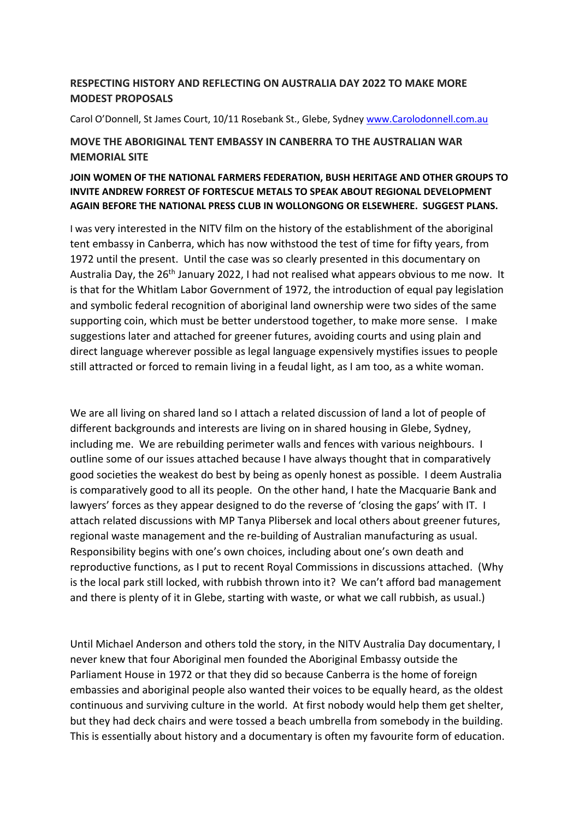## **RESPECTING HISTORY AND REFLECTING ON AUSTRALIA DAY 2022 TO MAKE MORE MODEST PROPOSALS**

Carol O'Donnell, St James Court, 10/11 Rosebank St., Glebe, Sydney www.Carolodonnell.com.au

## **MOVE THE ABORIGINAL TENT EMBASSY IN CANBERRA TO THE AUSTRALIAN WAR MEMORIAL SITE**

## **JOIN WOMEN OF THE NATIONAL FARMERS FEDERATION, BUSH HERITAGE AND OTHER GROUPS TO INVITE ANDREW FORREST OF FORTESCUE METALS TO SPEAK ABOUT REGIONAL DEVELOPMENT AGAIN BEFORE THE NATIONAL PRESS CLUB IN WOLLONGONG OR ELSEWHERE. SUGGEST PLANS.**

I was very interested in the NITV film on the history of the establishment of the aboriginal tent embassy in Canberra, which has now withstood the test of time for fifty years, from 1972 until the present. Until the case was so clearly presented in this documentary on Australia Day, the 26<sup>th</sup> January 2022, I had not realised what appears obvious to me now. It is that for the Whitlam Labor Government of 1972, the introduction of equal pay legislation and symbolic federal recognition of aboriginal land ownership were two sides of the same supporting coin, which must be better understood together, to make more sense. I make suggestions later and attached for greener futures, avoiding courts and using plain and direct language wherever possible as legal language expensively mystifies issues to people still attracted or forced to remain living in a feudal light, as I am too, as a white woman.

We are all living on shared land so I attach a related discussion of land a lot of people of different backgrounds and interests are living on in shared housing in Glebe, Sydney, including me. We are rebuilding perimeter walls and fences with various neighbours. I outline some of our issues attached because I have always thought that in comparatively good societies the weakest do best by being as openly honest as possible. I deem Australia is comparatively good to all its people. On the other hand, I hate the Macquarie Bank and lawyers' forces as they appear designed to do the reverse of 'closing the gaps' with IT. I attach related discussions with MP Tanya Plibersek and local others about greener futures, regional waste management and the re-building of Australian manufacturing as usual. Responsibility begins with one's own choices, including about one's own death and reproductive functions, as I put to recent Royal Commissions in discussions attached. (Why is the local park still locked, with rubbish thrown into it? We can't afford bad management and there is plenty of it in Glebe, starting with waste, or what we call rubbish, as usual.)

Until Michael Anderson and others told the story, in the NITV Australia Day documentary, I never knew that four Aboriginal men founded the Aboriginal Embassy outside the Parliament House in 1972 or that they did so because Canberra is the home of foreign embassies and aboriginal people also wanted their voices to be equally heard, as the oldest continuous and surviving culture in the world. At first nobody would help them get shelter, but they had deck chairs and were tossed a beach umbrella from somebody in the building. This is essentially about history and a documentary is often my favourite form of education.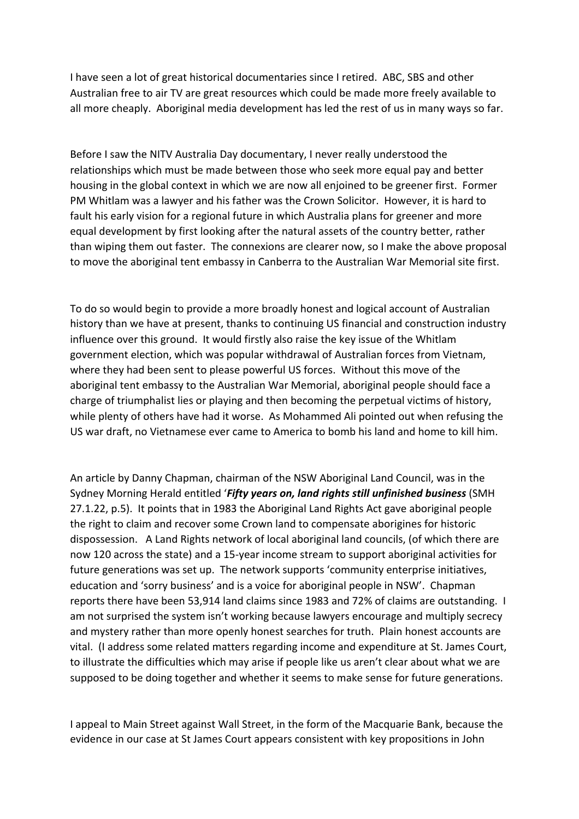I have seen a lot of great historical documentaries since I retired. ABC, SBS and other Australian free to air TV are great resources which could be made more freely available to all more cheaply. Aboriginal media development has led the rest of us in many ways so far.

Before I saw the NITV Australia Day documentary, I never really understood the relationships which must be made between those who seek more equal pay and better housing in the global context in which we are now all enjoined to be greener first. Former PM Whitlam was a lawyer and his father was the Crown Solicitor. However, it is hard to fault his early vision for a regional future in which Australia plans for greener and more equal development by first looking after the natural assets of the country better, rather than wiping them out faster. The connexions are clearer now, so I make the above proposal to move the aboriginal tent embassy in Canberra to the Australian War Memorial site first.

To do so would begin to provide a more broadly honest and logical account of Australian history than we have at present, thanks to continuing US financial and construction industry influence over this ground. It would firstly also raise the key issue of the Whitlam government election, which was popular withdrawal of Australian forces from Vietnam, where they had been sent to please powerful US forces. Without this move of the aboriginal tent embassy to the Australian War Memorial, aboriginal people should face a charge of triumphalist lies or playing and then becoming the perpetual victims of history, while plenty of others have had it worse. As Mohammed Ali pointed out when refusing the US war draft, no Vietnamese ever came to America to bomb his land and home to kill him.

An article by Danny Chapman, chairman of the NSW Aboriginal Land Council, was in the Sydney Morning Herald entitled '*Fifty years on, land rights still unfinished business* (SMH 27.1.22, p.5). It points that in 1983 the Aboriginal Land Rights Act gave aboriginal people the right to claim and recover some Crown land to compensate aborigines for historic dispossession. A Land Rights network of local aboriginal land councils, (of which there are now 120 across the state) and a 15-year income stream to support aboriginal activities for future generations was set up. The network supports 'community enterprise initiatives, education and 'sorry business' and is a voice for aboriginal people in NSW'. Chapman reports there have been 53,914 land claims since 1983 and 72% of claims are outstanding. I am not surprised the system isn't working because lawyers encourage and multiply secrecy and mystery rather than more openly honest searches for truth. Plain honest accounts are vital. (I address some related matters regarding income and expenditure at St. James Court, to illustrate the difficulties which may arise if people like us aren't clear about what we are supposed to be doing together and whether it seems to make sense for future generations.

I appeal to Main Street against Wall Street, in the form of the Macquarie Bank, because the evidence in our case at St James Court appears consistent with key propositions in John